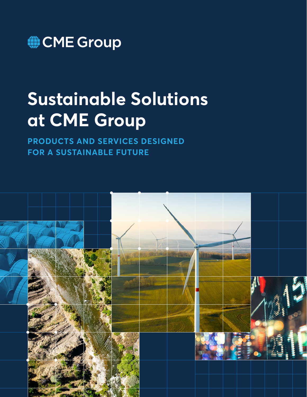

# **Sustainable Solutions at CME Group**

**PRODUCTS AND SERVICES DESIGNED FOR A SUSTAINABLE FUTURE**

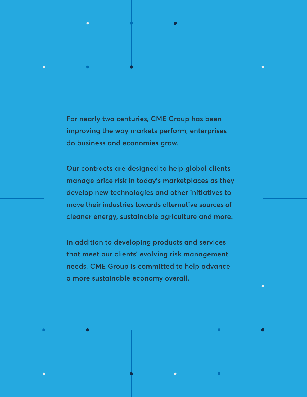**For nearly two centuries, CME Group has been improving the way markets perform, enterprises do business and economies grow.** 

**Our contracts are designed to help global clients manage price risk in today's marketplaces as they develop new technologies and other initiatives to move their industries towards alternative sources of cleaner energy, sustainable agriculture and more.** 

**In addition to developing products and services that meet our clients' evolving risk management needs, CME Group is committed to help advance a more sustainable economy overall.**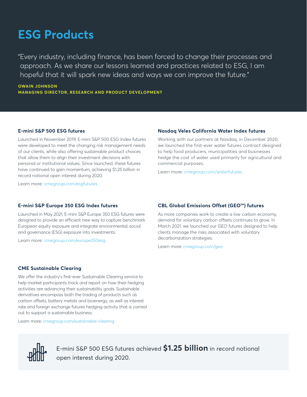### **ESG Products**

"Every industry, including finance, has been forced to change their processes and approach. As we share our lessons learned and practices related to ESG, I am hopeful that it will spark new ideas and ways we can improve the future."

**OWAIN JOHNSON MANAGING DIRECTOR, RESEARCH AND PRODUCT DEVELOPMENT**

#### **E-mini S&P 500 ESG futures**

Launched in November 2019, E-mini S&P 500 ESG Index futures were developed to meet the changing risk management needs of our clients, while also offering sustainable product choices that allow them to align their investment decisions with personal or institutional values. Since launched, these futures have continued to gain momentum, achieving \$1.25 billion in record notional open interest during 2020.

Learn more: [cmegroup.com/esgfutures](http://www.cmegroup.com/esgfutures)

#### **Nasdaq Veles California Water Index futures**

Working with our partners at Nasdaq, in December 2020, we launched the first-ever water futures contract designed to help food producers, municipalities and businesses hedge the cost of water used primarily for agricultural and commercial purposes.

Learn more: [cmegroup.com/waterfutures](http://www.cmegroup.com/waterfutures)

#### **E-mini S&P Europe 350 ESG Index futures**

Launched in May 2021, E-mini S&P Europe 350 ESG futures were designed to provide an efficient new way to capture benchmark European equity exposure and integrate environmental, social and governance (ESG) exposure into investments.

Learn more: [cmegroup.com/europe350esg](http://www.cmegroup.com/europe350esg)

#### **CBL Global Emissions Offset (GEO™) futures**

As more companies work to create a low carbon economy, demand for voluntary carbon offsets continues to grow. In March 2021, we launched our GEO futures designed to help clients manage the risks associated with voluntary decarbonization strategies.

Learn more: [cmegroup.com/geo](http://www.cmegroup.com/geo)

#### **CME Sustainable Clearing**

We offer the industry's first-ever Sustainable Clearing service to help market participants track and report on how their hedging activities are advancing their sustainability goals. Sustainable derivatives encompass both the trading of products such as carbon offsets, battery metals and bioenergy, as well as interest rate and foreign exchange futures hedging activity that is carried out to support a sustainable business.

Learn more: [cmegroup.com/sustainable-clearing](http://cmegroup.com/sustainable-clearing)



E-mini S&P 500 ESG futures achieved **\$1.25 billion** in record notional open interest during 2020.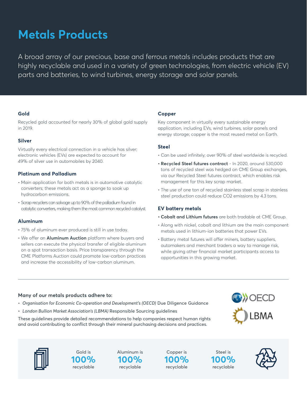# **Metals Products**

A broad array of our precious, base and ferrous metals includes products that are highly recyclable and used in a variety of green technologies, from electric vehicle (EV) parts and batteries, to wind turbines, energy storage and solar panels.

#### **Gold**

Recycled gold accounted for nearly 30% of global gold supply in 2019.

#### **Silver**

Virtually every electrical connection in a vehicle has silver; electronic vehicles (EVs) are expected to account for 49% of silver use in automobiles by 2040.

#### **Platinum and Palladium**

- Main application for both metals is in automotive catalytic converters; these metals act as a sponge to soak up hydrocarbon emissions.
- Scrap recyclers can salvage up to 90% of the palladium found in catalytic converters, making them the most common recycled catalyst.

#### **Aluminum**

- 75% of aluminum ever produced is still in use today.
- We offer an **Aluminum Auction** platform where buyers and sellers can execute the physical transfer of eligible aluminum on a spot transaction basis. Price transparency through the CME Platforms Auction could promote low-carbon practices and increase the accessibility of low-carbon aluminum.

#### **Copper**

Key component in virtually every sustainable energy application, including EVs, wind turbines, solar panels and energy storage; copper is the most reused metal on Earth.

#### **Steel**

- Can be used infinitely; over 90% of steel worldwide is recycled.
- **• Recycled Steel futures contract** In 2020, around 530,000 tons of recycled steel was hedged on CME Group exchanges, via our Recycled Steel futures contract, which enables risk management for this key scrap market.
- The use of one ton of recycled stainless steel scrap in stainless steel production could reduce CO2 emissions by 4.3 tons.

#### **EV battery metals**

- **• Cobalt and Lithium futures** are both tradable at CME Group.
- Along with nickel, cobalt and lithium are the main component metals used in lithium-ion batteries that power EVs.
- Battery metal futures will offer miners, battery suppliers, automakers and merchant traders a way to manage risk, while giving other financial market participants access to opportunities in this growing market.

#### **Many of our metals products adhere to:**

- *Organisation for Economic Co-operation and Development's (OECD)* Due Diligence Guidance
- *London Bullion Market Association's (LBMA)* Responsible Sourcing guidelines

These guidelines provide detailed recommendations to help companies respect human rights and avoid contributing to conflict through their mineral purchasing decisions and practices.





Gold is **100%** recyclable

Aluminum is **100%** recyclable

Copper is **100%** recyclable

Steel is **100%** recyclable

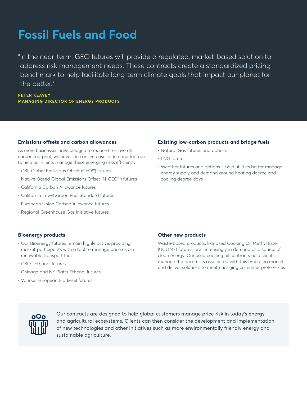# **Fossil Fuels and Food**

"In the near-term, GEO futures will provide a regulated, market-based solution to address risk management needs. These contracts create a standardized pricing benchmark to help facilitate long-term climate goals that impact our planet for the better"

**PETER KEAVEY MANAGING DIRECTOR OF ENERGY PRODUCTS**

#### **Emissions offsets and carbon allowances**

As more businesses have pledged to reduce their overall carbon footprint, we have seen an increase in demand for tools to help our clients manage these emerging risks efficiently.

- CBL Global Emissions Offset (GEO™) futures
- Nature-Based Global Emissions Offset (N-GEO™) futures
- California Carbon Allowance futures
- California Low-Carbon Fuel Standard futures
- European Union Carbon Allowance futures
- Regional Greenhouse Gas Initiative futures

#### **Existing low-carbon products and bridge fuels**

- Natural Gas futures and options
- LNG futures
- Weather futures and options help utilities better manage energy supply and demand around heating degree and cooling degree days

#### **Bioenergy products**

- Our Bioenergy futures remain highly active, providing market participants with a tool to manage price risk in renewable transport fuels.
- CBOT Ethanol futures
- Chicago and NY Platts Ethanol futures
- Various European Biodiesel futures

#### **Other new products**

Waste-based products, like Used Cooking Oil Methyl Ester (UCOME) futures, are increasingly in demand as a source of clean energy. Our used cooking oil contracts help clients manage the price risks associated with this emerging market and deliver solutions to meet changing consumer preferences.



Our contracts are designed to help global customers manage price risk in today's energy and agricultural ecosystems. Clients can then consider the development and implementation of new technologies and other initiatives such as more environmentally friendly energy and sustainable agriculture.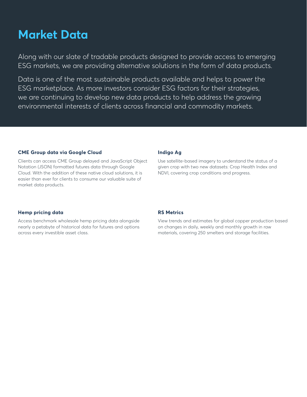### **Market Data**

Along with our slate of tradable products designed to provide access to emerging ESG markets, we are providing alternative solutions in the form of data products.

Data is one of the most sustainable products available and helps to power the ESG marketplace. As more investors consider ESG factors for their strategies, we are continuing to develop new data products to help address the growing environmental interests of clients across financial and commodity markets.

#### **CME Group data via Google Cloud**

Clients can access CME Group delayed and JavaScript Object Notation (JSON) formatted futures data through Google Cloud. With the addition of these native cloud solutions, it is easier than ever for clients to consume our valuable suite of market data products.

#### **[Indigo Ag](https://www.cmegroup.com/market-data/indigo-ag.html)**

Use satellite-based imagery to understand the status of a given crop with two new datasets: Crop Health Index and NDVI, covering crop conditions and progress.

#### **[Hemp pricing data](https://www.cmegroup.com/content/cmegroup/en/media-room/press-releases/2020/12/15/cme_group_adds_newhemppricingdatatocmedatamine.html)**

Access benchmark wholesale hemp pricing data alongside nearly a petabyte of historical data for futures and options across every investible asset class.

#### **[RS Metrics](https://www.cmegroup.com/market-data/rs-metrics.html)**

View trends and estimates for global copper production based on changes in daily, weekly and monthly growth in raw materials, covering 250 smelters and storage facilities.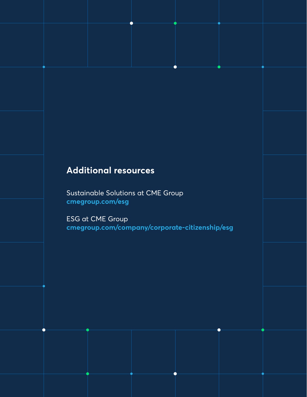### **Additional resources**

Sustainable Solutions at CME Group **[cmegroup.com/esg](http://www.cmegroup.com/esg)**

ESG at CME Group **[cmegroup.com/company/corporate-citizenship/esg](https://www.cmegroup.com/company/corporate-citizenship/esg.html)**